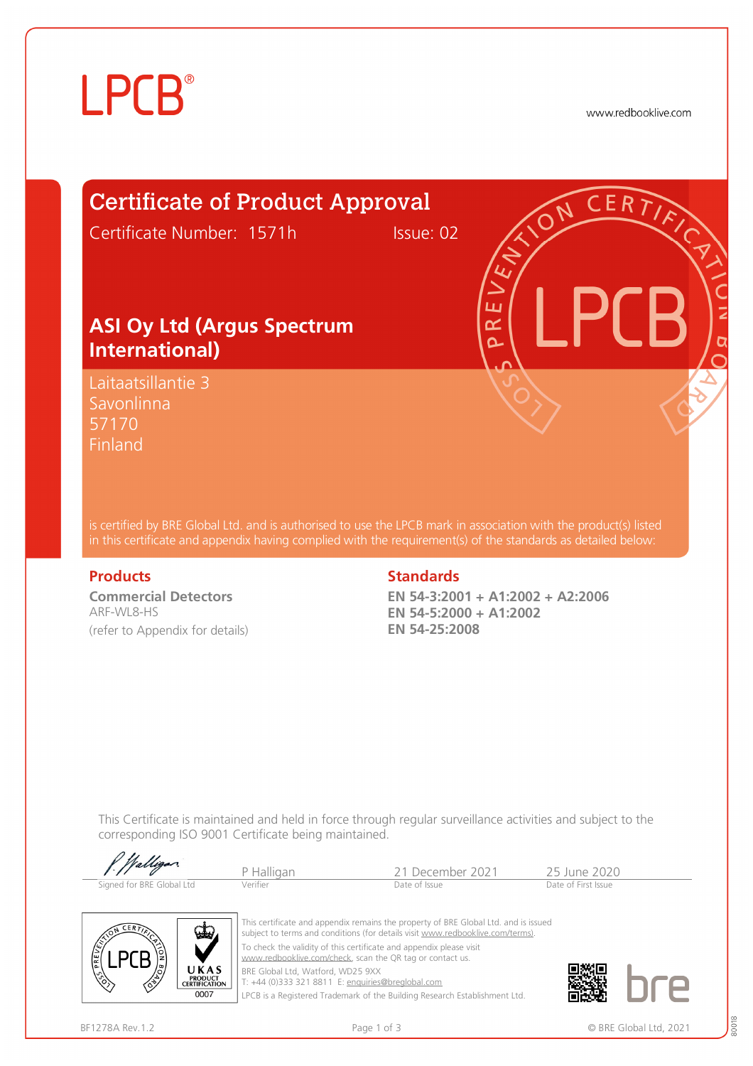# **LPCB**®

www.redbooklive.com

# Certificate of Product Approval

Certificate Number: 1571h Issue: 02

### **ASI Oy Ltd (Argus Spectrum International)**

Laitaatsillantie 3 Savonlinna 57170 Finland

is certified by BRE Global Ltd. and is authorised to use the LPCB mark in association with the product(s) listed in this certificate and appendix having complied with the requirement(s) of the standards as detailed below:

**Commercial Detectors**  ARF-WL8-HS (refer to Appendix for details)

#### **Products** Standards **Standards**

**EN 54-3:2001 + A1:2002 + A2:2006 EN 54-5:2000 + A1:2002 EN 54-25:2008** 

ய œ Ò

This Certificate is maintained and held in force through regular surveillance activities and subject to the corresponding ISO 9001 Certificate being maintained.

| f Walligan                | P Halligan | 21 December 2021 | 25 June 2020        |
|---------------------------|------------|------------------|---------------------|
| Signed for BRE Global Ltd | Verifier   | Date of Issue    | Date of First Issue |



This certificate and appendix remains the property of BRE Global Ltd. and is issued subject to terms and conditions (for details visit [www.redbooklive.com/terms\)](http://www.redbooklive.com/terms)). To check the validity of this certificate and appendix please visit [www.redbooklive.com/check,](http://www.redbooklive.com/check) scan the QR tag or contact us. BRE Global Ltd, Watford, WD25 9XX

T: +44 (0)333 321 8811 E: [enquiries@breglobal.com](mailto:enquiries@breglobal.com)

LPCB is a Registered Trademark of the Building Research Establishment Ltd.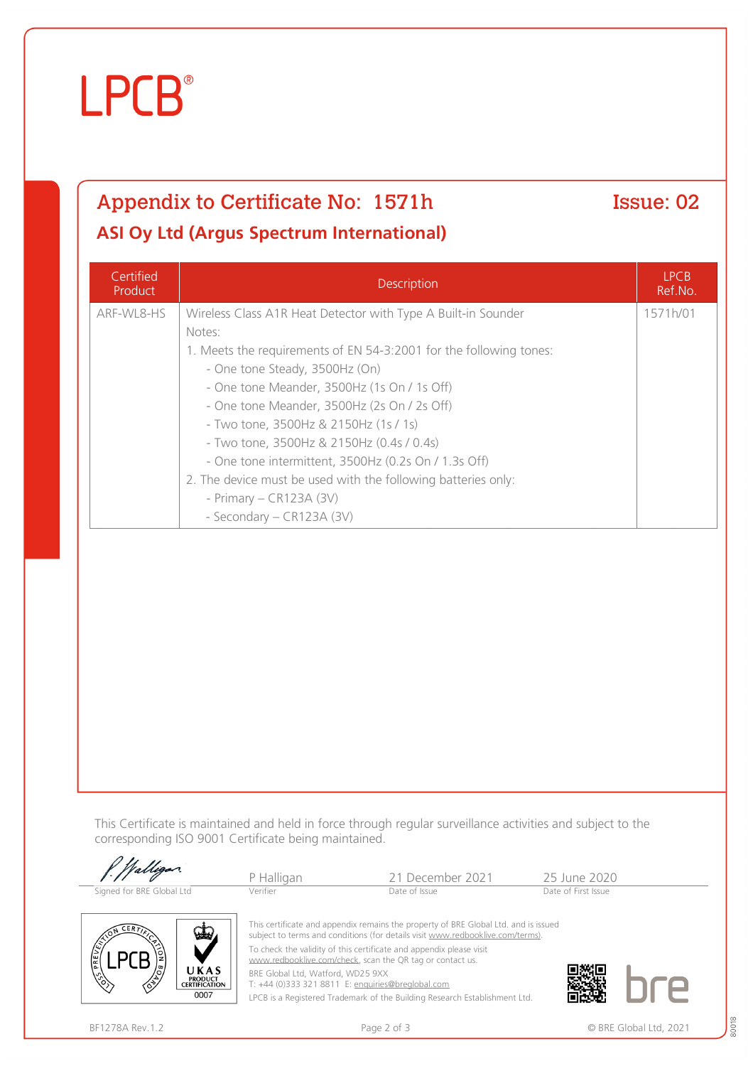# **LPCB**®

### Appendix to Certificate No: 1571h Issue: 02 **ASI Oy Ltd (Argus Spectrum International)**

**Certified** Product Description LPCB Ref.No. ARF-WL8-HS Wireless Class A1R Heat Detector with Type A Built-in Sounder Notes: 1. Meets the requirements of EN 54-3:2001 for the following tones: - One tone Steady, 3500Hz (On) - One tone Meander, 3500Hz (1s On / 1s Off) - One tone Meander, 3500Hz (2s On / 2s Off) - Two tone, 3500Hz & 2150Hz (1s / 1s) - Two tone, 3500Hz & 2150Hz (0.4s / 0.4s) - One tone intermittent, 3500Hz (0.2s On / 1.3s Off) 2. The device must be used with the following batteries only: - Primary – CR123A (3V) - Secondary – CR123A (3V) 1571h/01

This Certificate is maintained and held in force through regular surveillance activities and subject to the corresponding ISO 9001 Certificate being maintained.

| P. Walligan               | P Halligan | 21 December 2021                                                                                                                                                      | 25 June 2020        |
|---------------------------|------------|-----------------------------------------------------------------------------------------------------------------------------------------------------------------------|---------------------|
| Signed for BRE Global Ltd | Verifier   | Date of Issue                                                                                                                                                         | Date of First Issue |
| $\mathbf{\mathbb{Q}}$     |            | This certificate and appendix remains the property of BRE Global Ltd. and is issued<br>subject to terms and conditions (for details visit www.redbooklive.com/terms). |                     |



To check the validity of this certificate and appendix please visit [www.redbooklive.com/check](http://www.redbooklive.com/check), scan the QR tag or contact us.

BRE Global Ltd, Watford, WD25 9XX T: +44 (0)333 321 8811 E: [enquiries@breglobal.com](mailto:enquiries@breglobal.com)

LPCB is a Registered Trademark of the Building Research Establishment Ltd.



80018